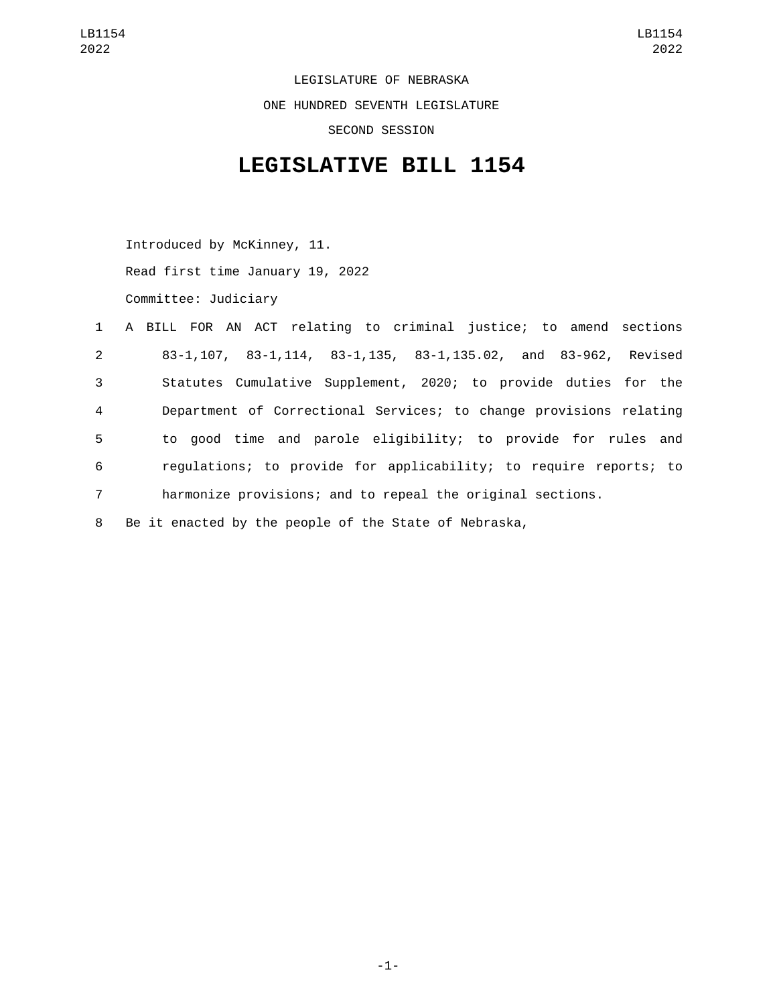LEGISLATURE OF NEBRASKA ONE HUNDRED SEVENTH LEGISLATURE SECOND SESSION

## **LEGISLATIVE BILL 1154**

Introduced by McKinney, 11. Read first time January 19, 2022 Committee: Judiciary

|                | 1 A BILL FOR AN ACT relating to criminal justice; to amend sections |
|----------------|---------------------------------------------------------------------|
| $\overline{2}$ | 83-1,107, 83-1,114, 83-1,135, 83-1,135.02, and 83-962, Revised      |
| 3              | Statutes Cumulative Supplement, 2020; to provide duties for the     |
| 4              | Department of Correctional Services; to change provisions relating  |
| 5              | to good time and parole eligibility; to provide for rules and       |
| 6              | regulations; to provide for applicability; to require reports; to   |
| $\overline{7}$ | harmonize provisions; and to repeal the original sections.          |
|                |                                                                     |

8 Be it enacted by the people of the State of Nebraska,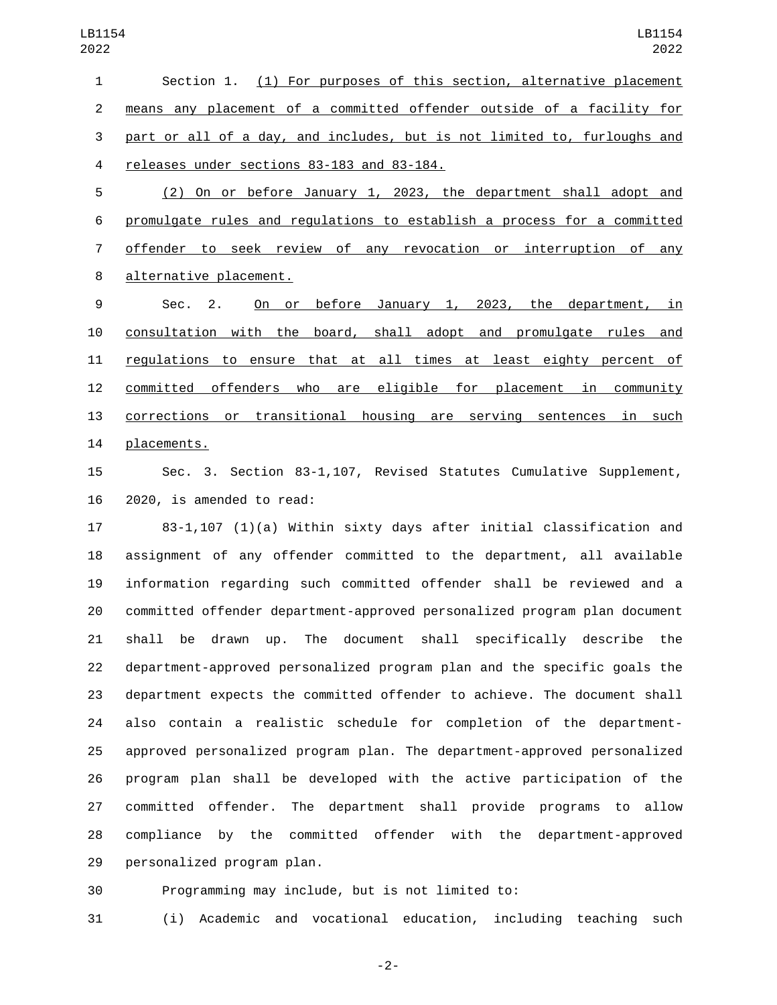Section 1. (1) For purposes of this section, alternative placement means any placement of a committed offender outside of a facility for part or all of a day, and includes, but is not limited to, furloughs and 4 releases under sections 83-183 and 83-184.

 (2) On or before January 1, 2023, the department shall adopt and promulgate rules and regulations to establish a process for a committed 7 offender to seek review of any revocation or interruption of any 8 alternative placement.

 Sec. 2. On or before January 1, 2023, the department, in consultation with the board, shall adopt and promulgate rules and regulations to ensure that at all times at least eighty percent of committed offenders who are eligible for placement in community corrections or transitional housing are serving sentences in such 14 placements.

 Sec. 3. Section 83-1,107, Revised Statutes Cumulative Supplement, 16 2020, is amended to read:

 83-1,107 (1)(a) Within sixty days after initial classification and assignment of any offender committed to the department, all available information regarding such committed offender shall be reviewed and a committed offender department-approved personalized program plan document shall be drawn up. The document shall specifically describe the department-approved personalized program plan and the specific goals the department expects the committed offender to achieve. The document shall also contain a realistic schedule for completion of the department- approved personalized program plan. The department-approved personalized program plan shall be developed with the active participation of the committed offender. The department shall provide programs to allow compliance by the committed offender with the department-approved 29 personalized program plan.

Programming may include, but is not limited to:

(i) Academic and vocational education, including teaching such

-2-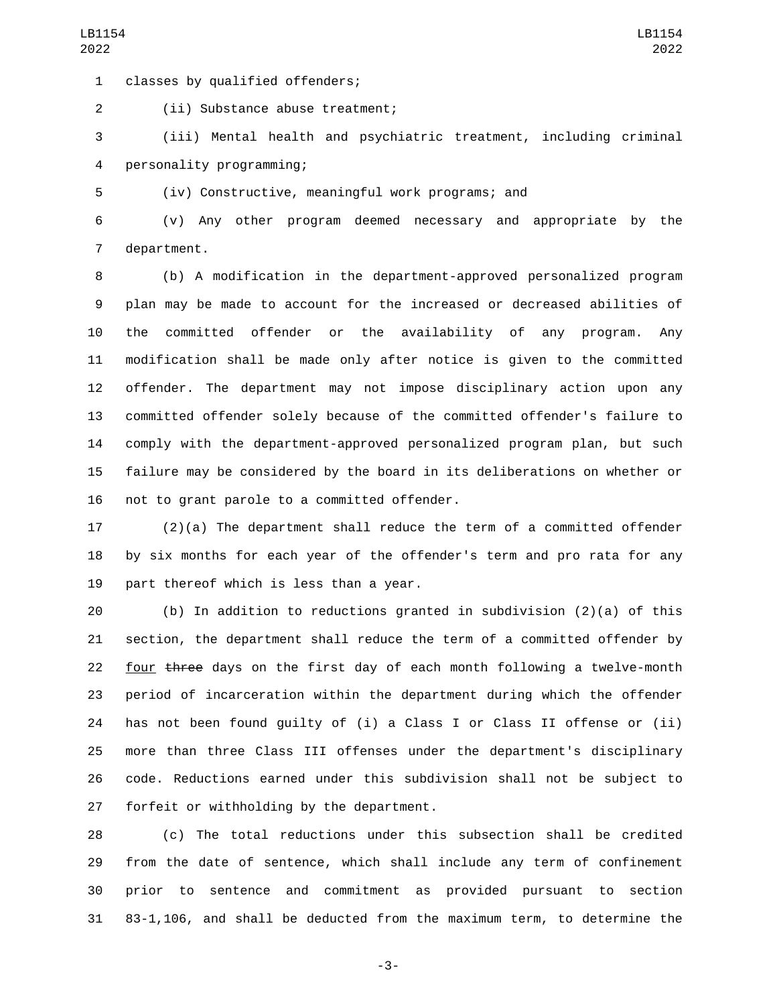classes by qualified offenders;1

(ii) Substance abuse treatment;2

 (iii) Mental health and psychiatric treatment, including criminal personality programming;4

(iv) Constructive, meaningful work programs; and

 (v) Any other program deemed necessary and appropriate by the 7 department.

 (b) A modification in the department-approved personalized program plan may be made to account for the increased or decreased abilities of the committed offender or the availability of any program. Any modification shall be made only after notice is given to the committed offender. The department may not impose disciplinary action upon any committed offender solely because of the committed offender's failure to comply with the department-approved personalized program plan, but such failure may be considered by the board in its deliberations on whether or 16 not to grant parole to a committed offender.

 (2)(a) The department shall reduce the term of a committed offender by six months for each year of the offender's term and pro rata for any 19 part thereof which is less than a year.

 (b) In addition to reductions granted in subdivision (2)(a) of this section, the department shall reduce the term of a committed offender by 22 four three days on the first day of each month following a twelve-month period of incarceration within the department during which the offender has not been found guilty of (i) a Class I or Class II offense or (ii) more than three Class III offenses under the department's disciplinary code. Reductions earned under this subdivision shall not be subject to 27 forfeit or withholding by the department.

 (c) The total reductions under this subsection shall be credited from the date of sentence, which shall include any term of confinement prior to sentence and commitment as provided pursuant to section 83-1,106, and shall be deducted from the maximum term, to determine the

-3-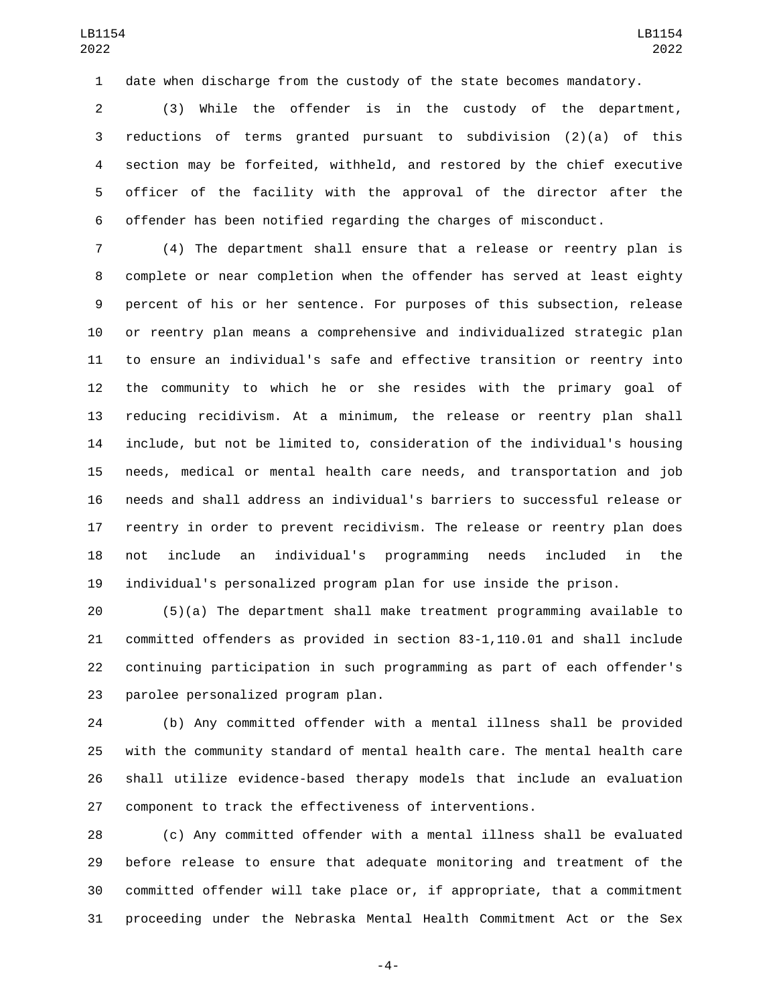date when discharge from the custody of the state becomes mandatory.

 (3) While the offender is in the custody of the department, reductions of terms granted pursuant to subdivision (2)(a) of this section may be forfeited, withheld, and restored by the chief executive officer of the facility with the approval of the director after the offender has been notified regarding the charges of misconduct.

 (4) The department shall ensure that a release or reentry plan is complete or near completion when the offender has served at least eighty percent of his or her sentence. For purposes of this subsection, release or reentry plan means a comprehensive and individualized strategic plan to ensure an individual's safe and effective transition or reentry into the community to which he or she resides with the primary goal of reducing recidivism. At a minimum, the release or reentry plan shall include, but not be limited to, consideration of the individual's housing needs, medical or mental health care needs, and transportation and job needs and shall address an individual's barriers to successful release or reentry in order to prevent recidivism. The release or reentry plan does not include an individual's programming needs included in the individual's personalized program plan for use inside the prison.

 (5)(a) The department shall make treatment programming available to committed offenders as provided in section 83-1,110.01 and shall include continuing participation in such programming as part of each offender's 23 parolee personalized program plan.

 (b) Any committed offender with a mental illness shall be provided with the community standard of mental health care. The mental health care shall utilize evidence-based therapy models that include an evaluation component to track the effectiveness of interventions.

 (c) Any committed offender with a mental illness shall be evaluated before release to ensure that adequate monitoring and treatment of the committed offender will take place or, if appropriate, that a commitment proceeding under the Nebraska Mental Health Commitment Act or the Sex

-4-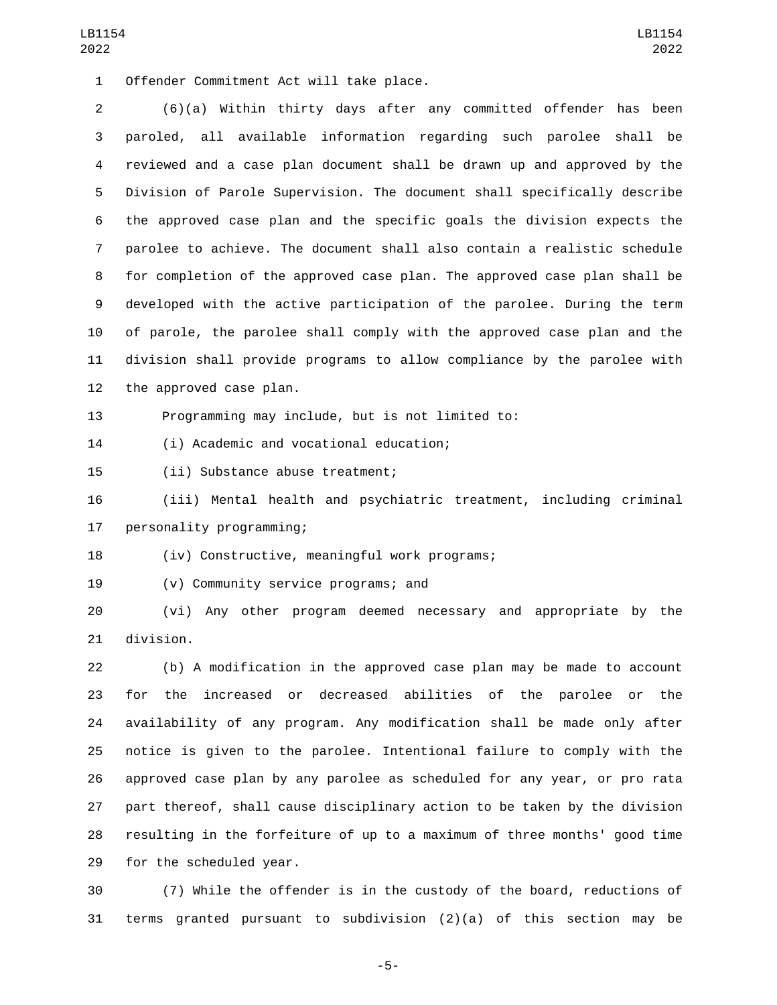1 Offender Commitment Act will take place.

 (6)(a) Within thirty days after any committed offender has been paroled, all available information regarding such parolee shall be reviewed and a case plan document shall be drawn up and approved by the Division of Parole Supervision. The document shall specifically describe the approved case plan and the specific goals the division expects the parolee to achieve. The document shall also contain a realistic schedule for completion of the approved case plan. The approved case plan shall be developed with the active participation of the parolee. During the term of parole, the parolee shall comply with the approved case plan and the division shall provide programs to allow compliance by the parolee with 12 the approved case plan.

Programming may include, but is not limited to:

(i) Academic and vocational education;14

15 (ii) Substance abuse treatment;

 (iii) Mental health and psychiatric treatment, including criminal 17 personality programming;

18 (iv) Constructive, meaningful work programs;

19 (v) Community service programs; and

 (vi) Any other program deemed necessary and appropriate by the 21 division.

 (b) A modification in the approved case plan may be made to account for the increased or decreased abilities of the parolee or the availability of any program. Any modification shall be made only after notice is given to the parolee. Intentional failure to comply with the approved case plan by any parolee as scheduled for any year, or pro rata part thereof, shall cause disciplinary action to be taken by the division resulting in the forfeiture of up to a maximum of three months' good time 29 for the scheduled year.

 (7) While the offender is in the custody of the board, reductions of terms granted pursuant to subdivision (2)(a) of this section may be

-5-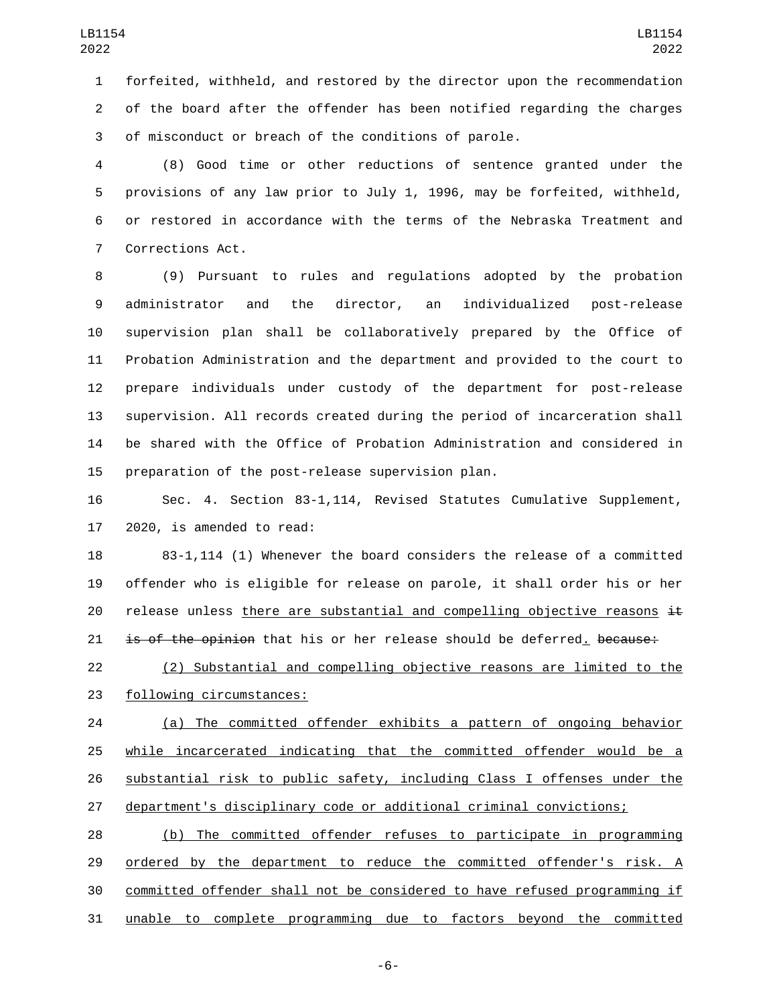forfeited, withheld, and restored by the director upon the recommendation of the board after the offender has been notified regarding the charges of misconduct or breach of the conditions of parole.

 (8) Good time or other reductions of sentence granted under the provisions of any law prior to July 1, 1996, may be forfeited, withheld, or restored in accordance with the terms of the Nebraska Treatment and 7 Corrections Act.

 (9) Pursuant to rules and regulations adopted by the probation administrator and the director, an individualized post-release supervision plan shall be collaboratively prepared by the Office of Probation Administration and the department and provided to the court to prepare individuals under custody of the department for post-release supervision. All records created during the period of incarceration shall be shared with the Office of Probation Administration and considered in 15 preparation of the post-release supervision plan.

 Sec. 4. Section 83-1,114, Revised Statutes Cumulative Supplement, 2020, is amended to read:

 83-1,114 (1) Whenever the board considers the release of a committed offender who is eligible for release on parole, it shall order his or her 20 release unless there are substantial and compelling objective reasons  $\pm t$ 21 is of the opinion that his or her release should be deferred. because:

 (2) Substantial and compelling objective reasons are limited to the 23 following circumstances:

 (a) The committed offender exhibits a pattern of ongoing behavior while incarcerated indicating that the committed offender would be a substantial risk to public safety, including Class I offenses under the department's disciplinary code or additional criminal convictions;

 (b) The committed offender refuses to participate in programming ordered by the department to reduce the committed offender's risk. A committed offender shall not be considered to have refused programming if unable to complete programming due to factors beyond the committed

-6-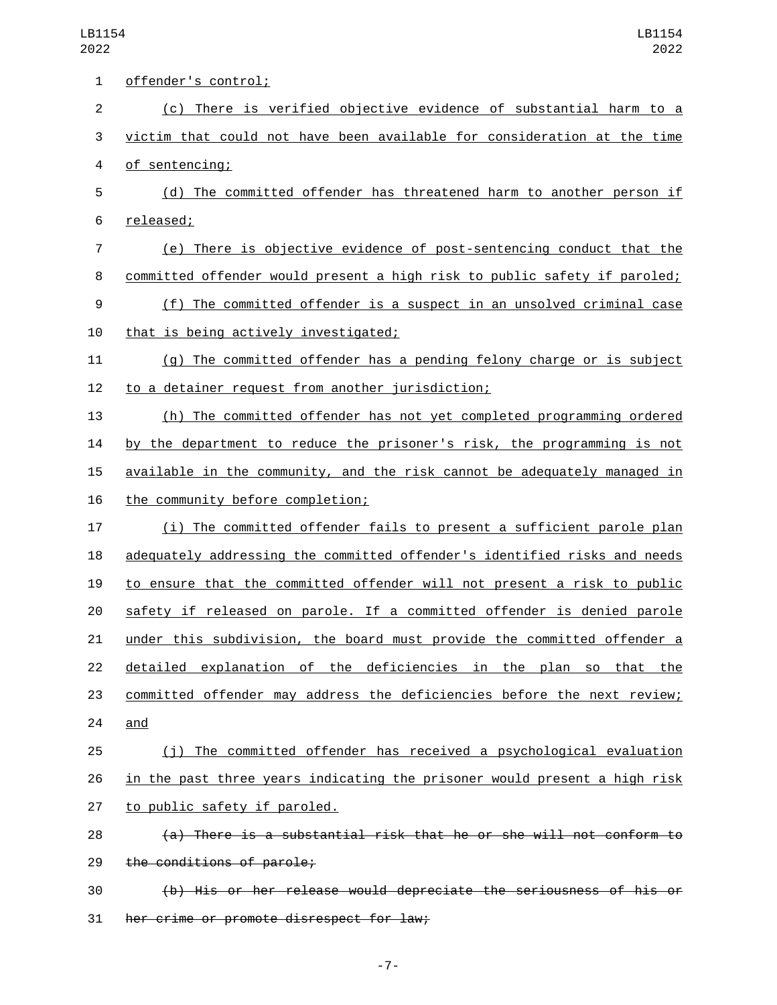| 1              | offender's control;                                                              |
|----------------|----------------------------------------------------------------------------------|
| $\overline{c}$ | (c) There is verified objective evidence of substantial harm to a                |
| 3              | victim that could not have been available for consideration at the time          |
| 4              | of sentencing;                                                                   |
| 5              | (d) The committed offender has threatened harm to another person if              |
| 6              | released;                                                                        |
| 7              | (e) There is objective evidence of post-sentencing conduct that the              |
| 8              | <u>committed offender would present a high risk to public safety if paroled;</u> |
| 9              | (f) The committed offender is a suspect in an unsolved criminal case             |
| 10             | that is being actively investigated;                                             |
| 11             | (g) The committed offender has a pending felony charge or is subject             |
| 12             | to a detainer request from another jurisdiction;                                 |
| 13             | (h) The committed offender has not yet completed programming ordered             |
| 14             | by the department to reduce the prisoner's risk, the programming is not          |
| 15             | available in the community, and the risk cannot be adequately managed in         |
| 16             | the community before completion;                                                 |
| 17             | (i) The committed offender fails to present a sufficient parole plan             |
| 18             | adequately addressing the committed offender's identified risks and needs        |
| 19             | to ensure that the committed offender will not present a risk to public          |
| 20             | safety if released on parole. If a committed offender is denied parole           |
| 21             | under this subdivision, the board must provide the committed offender a          |
| 22             | detailed explanation of the deficiencies in the plan so that the                 |
| 23             | committed offender may address the deficiencies before the next review;          |
| 24             | and                                                                              |
| 25             | (j) The committed offender has received a psychological evaluation               |
| 26             | in the past three years indicating the prisoner would present a high risk        |
| 27             | to public safety if paroled.                                                     |
| 28             | (a) There is a substantial risk that he or she will not conform to               |
| 29             | the conditions of parole;                                                        |
| 30             | (b) His or her release would depreciate the seriousness of his or                |
| 31             | her crime or promote disrespect for law;                                         |

-7-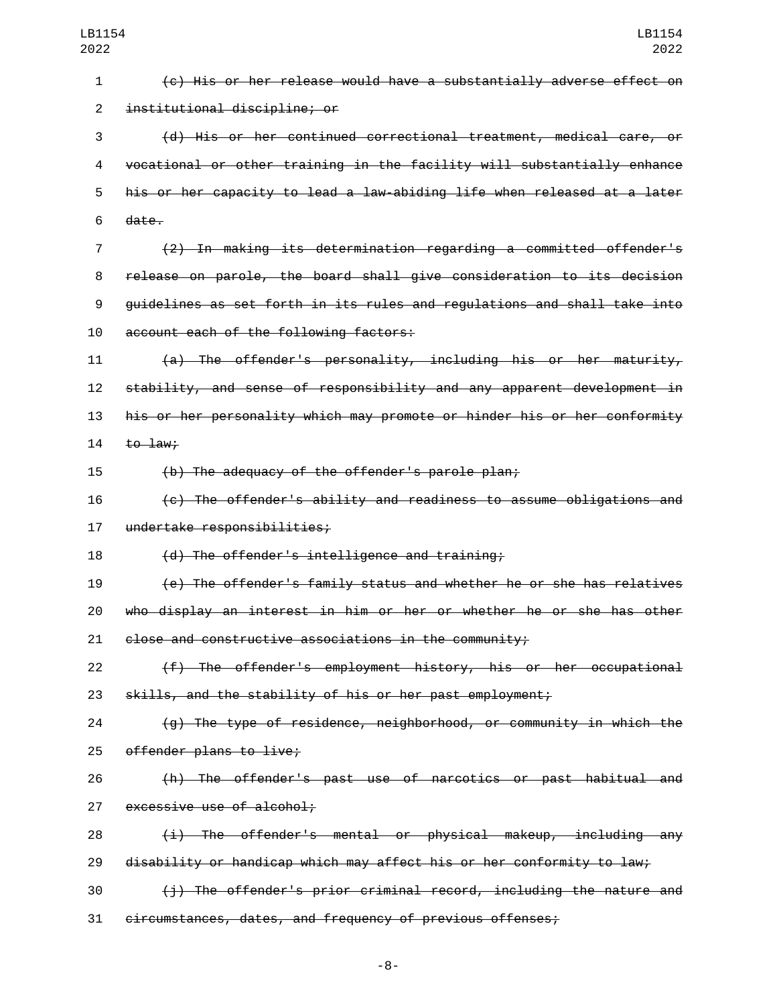| $\mathbf{1}$   | (c) His or her release would have a substantially adverse effect on      |
|----------------|--------------------------------------------------------------------------|
| $\overline{2}$ | institutional discipline; or                                             |
| 3              | (d) His or her continued correctional treatment, medical care, or        |
| 4              | vocational or other training in the facility will substantially enhance  |
| 5              | his or her capacity to lead a law-abiding life when released at a later  |
| 6              | date.                                                                    |
| 7              | (2) In making its determination regarding a committed offender's         |
| 8              | release on parole, the board shall give consideration to its decision    |
| 9              | guidelines as set forth in its rules and regulations and shall take into |
| 10             | account each of the following factors:                                   |
| 11             | $(a)$ The offender's personality, including his or her maturity,         |
| 12             | stability, and sense of responsibility and any apparent development in   |
| 13             | his or her personality which may promote or hinder his or her conformity |
| 14             | $\text{to}\ \text{law}$ ;                                                |
| 15             | (b) The adequacy of the offender's parole plan;                          |
| 16             | (c) The offender's ability and readiness to assume obligations and       |
| 17             | undertake responsibilities;                                              |
| 18             | (d) The offender's intelligence and training;                            |
| 19             | (e) The offender's family status and whether he or she has relatives     |
| 20             | who display an interest in him or her or whether he or she has other     |
| 21             | close and constructive associations in the community;                    |
| 22             | (f) The offender's employment history, his or her occupational           |
| 23             | skills, and the stability of his or her past employment;                 |
| 24             | $(g)$ The type of residence, neighborhood, or community in which the     |
| 25             | offender plans to live;                                                  |
| 26             | (h) The offender's past use of narcotics or past habitual and            |
| 27             | excessive use of alcohol;                                                |
| 28             | (i) The offender's mental or physical makeup, including any              |
| 29             | disability or handicap which may affect his or her conformity to law;    |
| 30             | $(i)$ The offender's prior criminal record, including the nature and     |
| 31             | circumstances, dates, and frequency of previous offenses;                |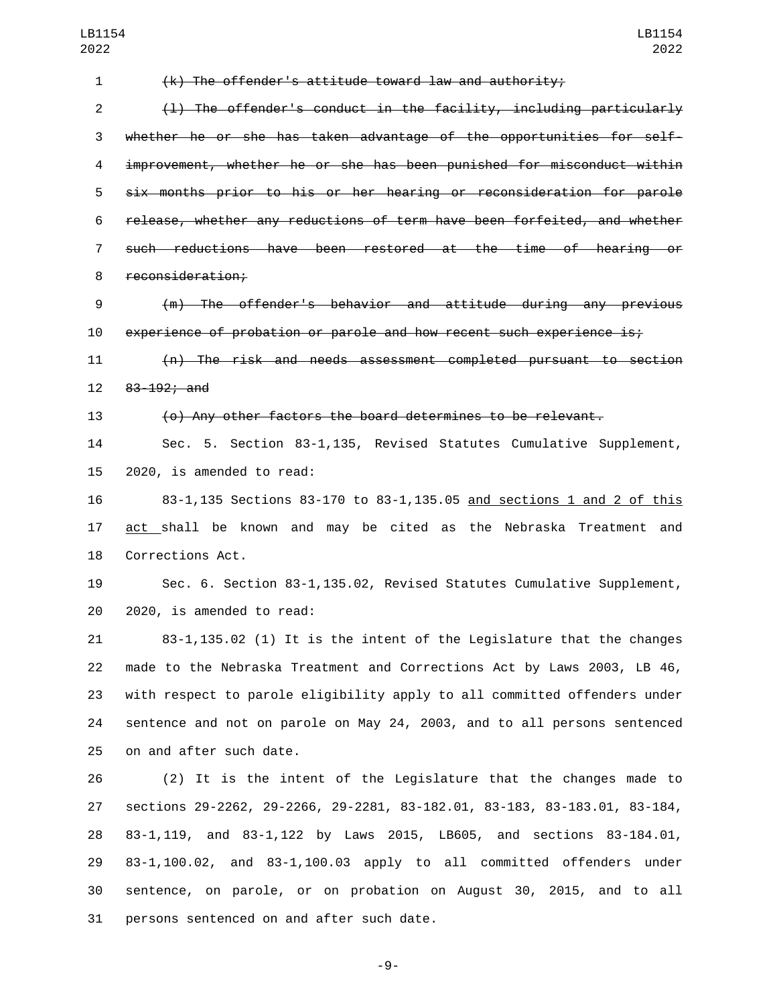| 1              | (k) The offender's attitude toward law and authority;                     |
|----------------|---------------------------------------------------------------------------|
| $\overline{2}$ | (1) The offender's conduct in the facility, including particularly        |
| 3              | whether he or she has taken advantage of the opportunities for self-      |
| 4              | improvement, whether he or she has been punished for misconduct within    |
| 5              | six months prior to his or her hearing or reconsideration for parole      |
| 6              | release, whether any reductions of term have been forfeited, and whether  |
| $\overline{7}$ | such reductions have been restored at the time of hearing or              |
| 8              | reconsideration;                                                          |
| 9              | $(m)$ The offender's behavior and attitude during any previous            |
| 10             | experience of probation or parole and how recent such experience is;      |
| 11             | $(n)$ The risk and needs assessment completed pursuant to section         |
| 12             | 83-192; and                                                               |
| 13             | (o) Any other factors the board determines to be relevant.                |
| 14             | Sec. 5. Section 83-1,135, Revised Statutes Cumulative Supplement,         |
| 15             | 2020, is amended to read:                                                 |
| 16             | 83-1,135 Sections 83-170 to 83-1,135.05 and sections 1 and 2 of this      |
| 17             | act shall be known and may be cited as the Nebraska Treatment and         |
| 18             | Corrections Act.                                                          |
| 19             | Sec. 6. Section 83-1,135.02, Revised Statutes Cumulative Supplement,      |
| 20             | 2020, is amended to read:                                                 |
| 21             | 83-1,135.02 (1) It is the intent of the Legislature that the changes      |
| 22             | made to the Nebraska Treatment and Corrections Act by Laws 2003, LB 46,   |
| 23             | with respect to parole eligibility apply to all committed offenders under |
| 24             | sentence and not on parole on May 24, 2003, and to all persons sentenced  |
| 25             | on and after such date.                                                   |
| 26             | (2) It is the intent of the Legislature that the changes made to          |
| 27             | sections 29-2262, 29-2266, 29-2281, 83-182.01, 83-183, 83-183.01, 83-184, |
| 28             | 83-1,119, and 83-1,122 by Laws 2015, LB605, and sections 83-184.01,       |

 83-1,100.02, and 83-1,100.03 apply to all committed offenders under sentence, on parole, or on probation on August 30, 2015, and to all 31 persons sentenced on and after such date.

-9-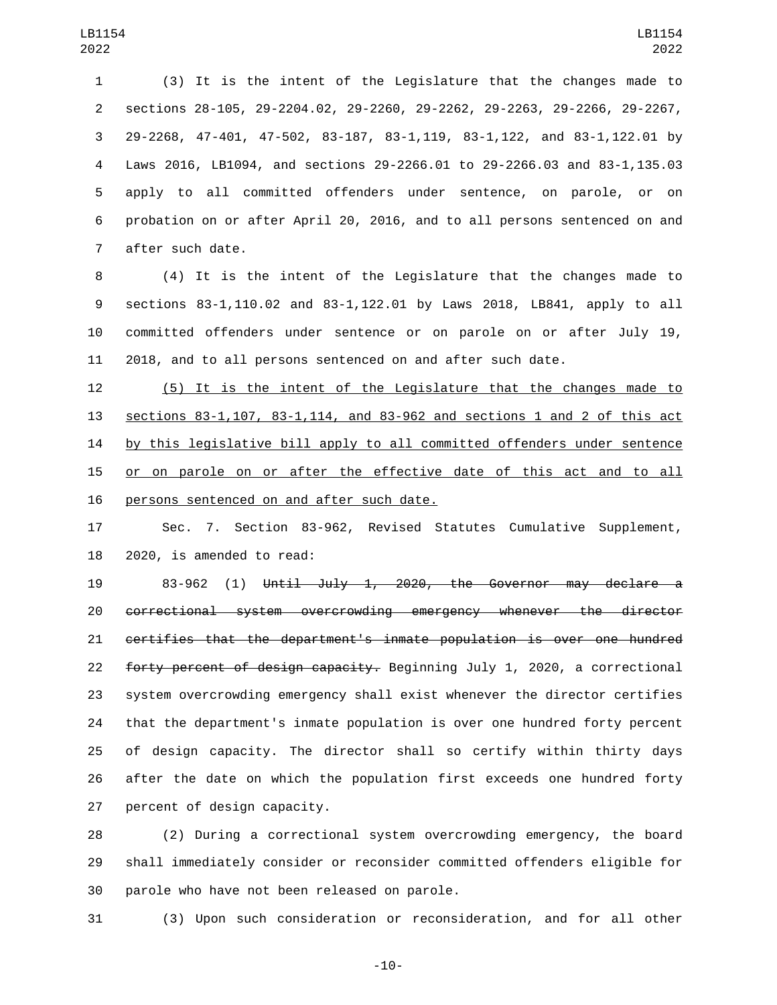(3) It is the intent of the Legislature that the changes made to sections 28-105, 29-2204.02, 29-2260, 29-2262, 29-2263, 29-2266, 29-2267, 29-2268, 47-401, 47-502, 83-187, 83-1,119, 83-1,122, and 83-1,122.01 by Laws 2016, LB1094, and sections 29-2266.01 to 29-2266.03 and 83-1,135.03 apply to all committed offenders under sentence, on parole, or on probation on or after April 20, 2016, and to all persons sentenced on and 7 after such date.

 (4) It is the intent of the Legislature that the changes made to sections 83-1,110.02 and 83-1,122.01 by Laws 2018, LB841, apply to all committed offenders under sentence or on parole on or after July 19, 2018, and to all persons sentenced on and after such date.

 (5) It is the intent of the Legislature that the changes made to sections 83-1,107, 83-1,114, and 83-962 and sections 1 and 2 of this act 14 by this legislative bill apply to all committed offenders under sentence or on parole on or after the effective date of this act and to all 16 persons sentenced on and after such date.

 Sec. 7. Section 83-962, Revised Statutes Cumulative Supplement, 2020, is amended to read:

 83-962 (1) Until July 1, 2020, the Governor may declare a correctional system overcrowding emergency whenever the director certifies that the department's inmate population is over one hundred 22 forty percent of design capacity. Beginning July 1, 2020, a correctional system overcrowding emergency shall exist whenever the director certifies that the department's inmate population is over one hundred forty percent of design capacity. The director shall so certify within thirty days after the date on which the population first exceeds one hundred forty 27 percent of design capacity.

 (2) During a correctional system overcrowding emergency, the board shall immediately consider or reconsider committed offenders eligible for 30 parole who have not been released on parole.

(3) Upon such consideration or reconsideration, and for all other

-10-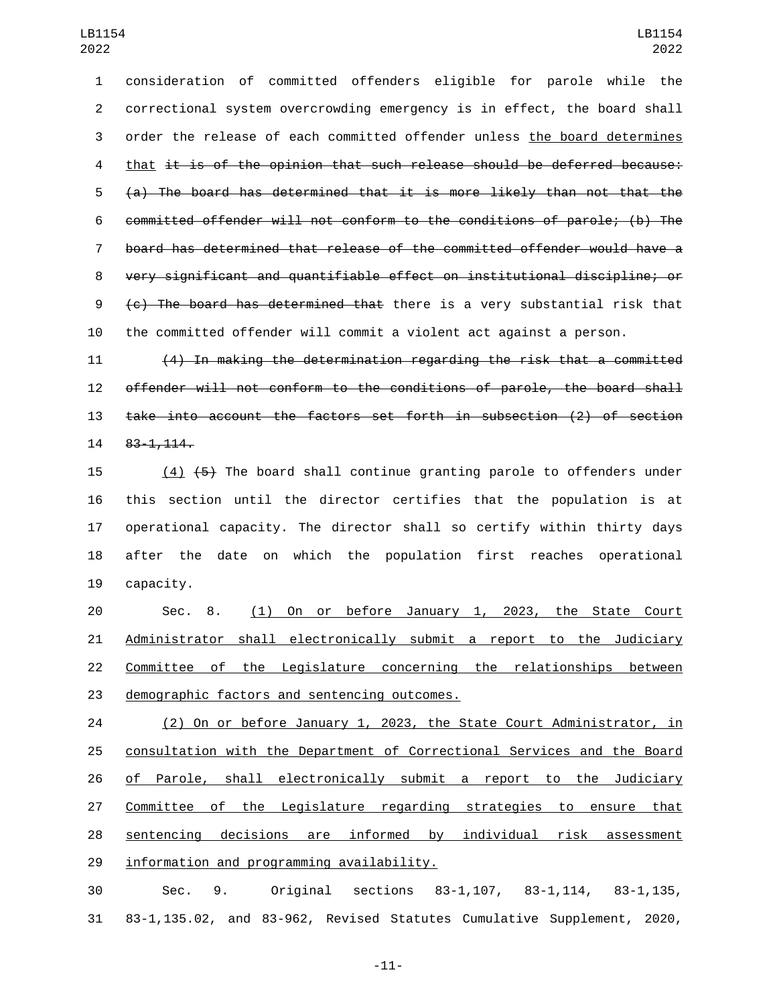consideration of committed offenders eligible for parole while the correctional system overcrowding emergency is in effect, the board shall order the release of each committed offender unless the board determines that it is of the opinion that such release should be deferred because: (a) The board has determined that it is more likely than not that the committed offender will not conform to the conditions of parole; (b) The board has determined that release of the committed offender would have a very significant and quantifiable effect on institutional discipline; or (c) The board has determined that there is a very substantial risk that the committed offender will commit a violent act against a person.

 (4) In making the determination regarding the risk that a committed offender will not conform to the conditions of parole, the board shall take into account the factors set forth in subsection (2) of section 14 83-1,114.

 $(4)$   $(5)$  The board shall continue granting parole to offenders under this section until the director certifies that the population is at operational capacity. The director shall so certify within thirty days after the date on which the population first reaches operational 19 capacity.

 Sec. 8. (1) On or before January 1, 2023, the State Court Administrator shall electronically submit a report to the Judiciary Committee of the Legislature concerning the relationships between 23 demographic factors and sentencing outcomes.

 (2) On or before January 1, 2023, the State Court Administrator, in consultation with the Department of Correctional Services and the Board 26 of Parole, shall electronically submit a report to the Judiciary Committee of the Legislature regarding strategies to ensure that sentencing decisions are informed by individual risk assessment 29 information and programming availability.

 Sec. 9. Original sections 83-1,107, 83-1,114, 83-1,135, 83-1,135.02, and 83-962, Revised Statutes Cumulative Supplement, 2020,

-11-